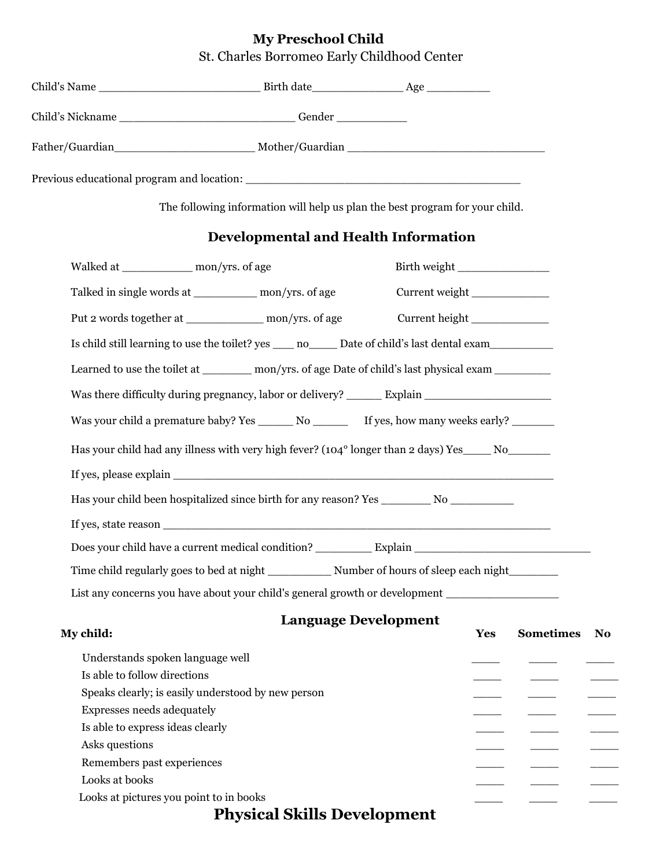## **My Preschool Child**  St. Charles Borromeo Early Childhood Center

| Child's Name<br><u> 1980 - Jan Barbara (j. 1980)</u> |        |  |
|------------------------------------------------------|--------|--|
| Child's Nickname                                     | Gender |  |
| Father/Guardian                                      |        |  |
| Previous educational program and location:           |        |  |

The following information will help us plan the best program for your child.

## **Developmental and Health Information**

| Walked at ___________________ mon/yrs. of age |                                                                                                            | Birth weight                |            |                                                                                                                                                                                                                                                                                                                                                                                                                                                                            |                        |
|-----------------------------------------------|------------------------------------------------------------------------------------------------------------|-----------------------------|------------|----------------------------------------------------------------------------------------------------------------------------------------------------------------------------------------------------------------------------------------------------------------------------------------------------------------------------------------------------------------------------------------------------------------------------------------------------------------------------|------------------------|
|                                               | Talked in single words at ____________ mon/yrs. of age                                                     | Current weight              |            |                                                                                                                                                                                                                                                                                                                                                                                                                                                                            |                        |
|                                               | Put 2 words together at _______________ mon/yrs. of age                                                    | Current height              |            |                                                                                                                                                                                                                                                                                                                                                                                                                                                                            |                        |
|                                               | Is child still learning to use the toilet? yes _____ no_______ Date of child's last dental exam___________ |                             |            |                                                                                                                                                                                                                                                                                                                                                                                                                                                                            |                        |
|                                               | Learned to use the toilet at __________ mon/yrs. of age Date of child's last physical exam                 |                             |            |                                                                                                                                                                                                                                                                                                                                                                                                                                                                            |                        |
|                                               | Was there difficulty during pregnancy, labor or delivery? _______ Explain _________________________        |                             |            |                                                                                                                                                                                                                                                                                                                                                                                                                                                                            |                        |
|                                               | Was your child a premature baby? Yes ______ No _______ If yes, how many weeks early? _______               |                             |            |                                                                                                                                                                                                                                                                                                                                                                                                                                                                            |                        |
|                                               | Has your child had any illness with very high fever? $(104^{\circ})$ longer than 2 days) Yes $\qquad N$ o  |                             |            |                                                                                                                                                                                                                                                                                                                                                                                                                                                                            |                        |
|                                               |                                                                                                            |                             |            |                                                                                                                                                                                                                                                                                                                                                                                                                                                                            |                        |
|                                               |                                                                                                            |                             |            |                                                                                                                                                                                                                                                                                                                                                                                                                                                                            |                        |
|                                               |                                                                                                            |                             |            |                                                                                                                                                                                                                                                                                                                                                                                                                                                                            |                        |
|                                               |                                                                                                            |                             |            |                                                                                                                                                                                                                                                                                                                                                                                                                                                                            |                        |
|                                               |                                                                                                            |                             |            |                                                                                                                                                                                                                                                                                                                                                                                                                                                                            |                        |
|                                               | Time child regularly goes to bed at night ______________ Number of hours of sleep each night________       |                             |            |                                                                                                                                                                                                                                                                                                                                                                                                                                                                            |                        |
|                                               | List any concerns you have about your child's general growth or development                                |                             |            |                                                                                                                                                                                                                                                                                                                                                                                                                                                                            |                        |
|                                               |                                                                                                            | <b>Language Development</b> |            |                                                                                                                                                                                                                                                                                                                                                                                                                                                                            |                        |
| My child:                                     |                                                                                                            |                             | <b>Yes</b> | <b>Sometimes</b>                                                                                                                                                                                                                                                                                                                                                                                                                                                           | $\mathbf{N}\mathbf{O}$ |
| Understands spoken language well              |                                                                                                            |                             |            |                                                                                                                                                                                                                                                                                                                                                                                                                                                                            |                        |
| Is able to follow directions                  |                                                                                                            |                             |            |                                                                                                                                                                                                                                                                                                                                                                                                                                                                            |                        |
|                                               | Speaks clearly; is easily understood by new person                                                         |                             |            | $\frac{1}{1}$                                                                                                                                                                                                                                                                                                                                                                                                                                                              | $\frac{1}{1}$          |
| Expresses needs adequately                    |                                                                                                            |                             |            |                                                                                                                                                                                                                                                                                                                                                                                                                                                                            | $\frac{1}{2}$          |
| Is able to express ideas clearly              |                                                                                                            |                             |            | $\frac{1}{2} \left( \frac{1}{2} \right) \left( \frac{1}{2} \right) \left( \frac{1}{2} \right) \left( \frac{1}{2} \right) \left( \frac{1}{2} \right) \left( \frac{1}{2} \right) \left( \frac{1}{2} \right) \left( \frac{1}{2} \right) \left( \frac{1}{2} \right) \left( \frac{1}{2} \right) \left( \frac{1}{2} \right) \left( \frac{1}{2} \right) \left( \frac{1}{2} \right) \left( \frac{1}{2} \right) \left( \frac{1}{2} \right) \left( \frac{1}{2} \right) \left( \frac$ | $\frac{1}{2}$          |
| Asks questions                                |                                                                                                            |                             |            | $\frac{1}{1}$                                                                                                                                                                                                                                                                                                                                                                                                                                                              |                        |
| Remembers past experiences                    |                                                                                                            |                             |            |                                                                                                                                                                                                                                                                                                                                                                                                                                                                            |                        |

## Looks at books  $\overline{\phantom{a}}$

Looks at pictures you point to in books

## **Physical Skills Development**